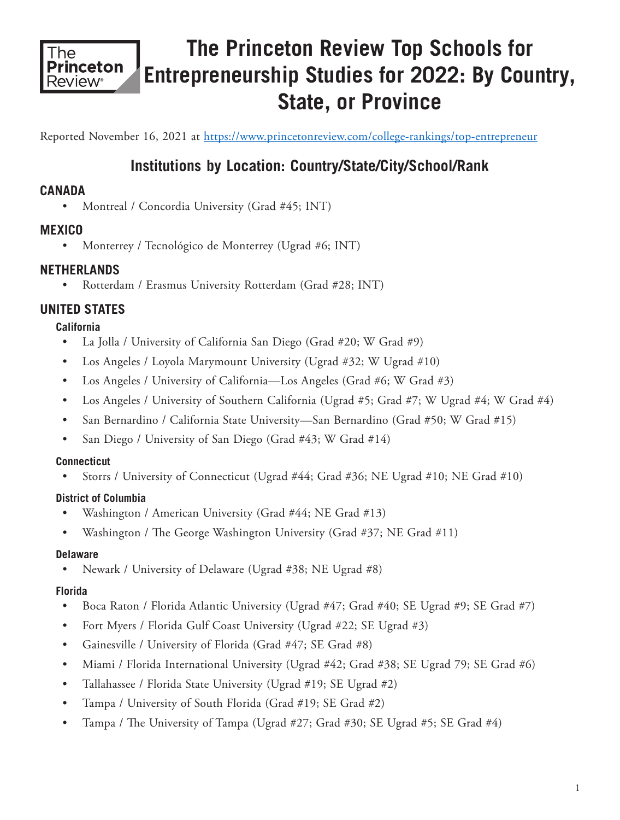

# **The Princeton Review Top Schools for Entrepreneurship Studies for 2022: By Country, State, or Province**

Reported November 16, 2021 at https://www.princetonreview.com/college-rankings/top-entrepreneur

## **Institutions by Location: Country/State/City/School/Rank**

## **CANADA**

• Montreal / Concordia University (Grad #45; INT)

## **MEXICO**

• Monterrey / Tecnológico de Monterrey (Ugrad #6; INT)

## **NETHERLANDS**

• Rotterdam / Erasmus University Rotterdam (Grad #28; INT)

## **UNITED STATES**

#### **California**

- La Jolla / University of California San Diego (Grad #20; W Grad #9)
- Los Angeles / Loyola Marymount University (Ugrad #32; W Ugrad #10)
- Los Angeles / University of California—Los Angeles (Grad #6; W Grad #3)
- Los Angeles / University of Southern California (Ugrad #5; Grad #7; W Ugrad #4; W Grad #4)
- San Bernardino / California State University—San Bernardino (Grad #50; W Grad #15)
- San Diego / University of San Diego (Grad #43; W Grad #14)

#### **Connecticut**

• Storrs / University of Connecticut (Ugrad #44; Grad #36; NE Ugrad #10; NE Grad #10)

#### **District of Columbia**

- Washington / American University (Grad #44; NE Grad #13)
- Washington / The George Washington University (Grad #37; NE Grad #11)

#### **Delaware**

• Newark / University of Delaware (Ugrad #38; NE Ugrad #8)

#### **Florida**

- Boca Raton / Florida Atlantic University (Ugrad #47; Grad #40; SE Ugrad #9; SE Grad #7)
- Fort Myers / Florida Gulf Coast University (Ugrad #22; SE Ugrad #3)
- Gainesville / University of Florida (Grad #47; SE Grad #8)
- Miami / Florida International University (Ugrad #42; Grad #38; SE Ugrad 79; SE Grad #6)
- Tallahassee / Florida State University (Ugrad #19; SE Ugrad #2)
- Tampa / University of South Florida (Grad #19; SE Grad #2)
- Tampa / The University of Tampa (Ugrad #27; Grad #30; SE Ugrad #5; SE Grad #4)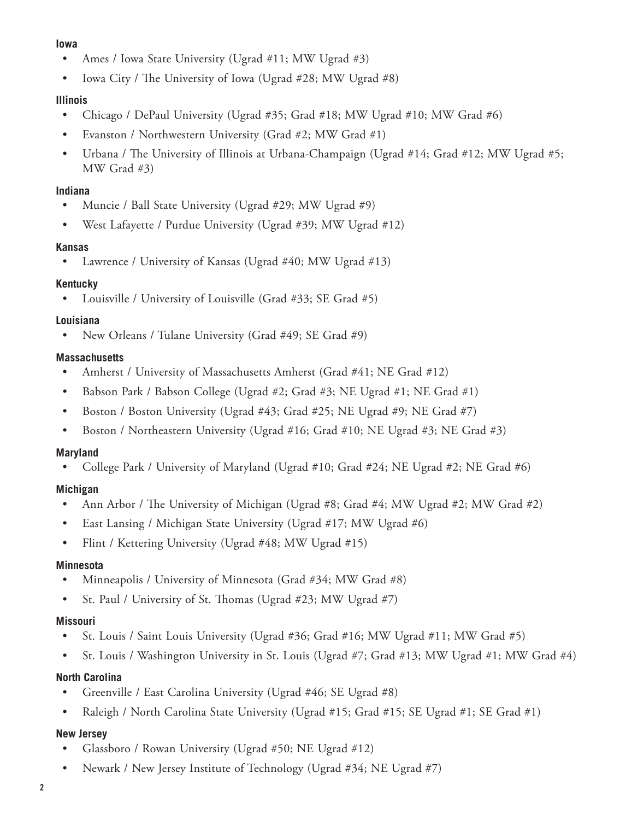#### **Iowa**

- Ames / Iowa State University (Ugrad #11; MW Ugrad #3)
- Iowa City / The University of Iowa (Ugrad #28; MW Ugrad #8)

#### **Illinois**

- Chicago / DePaul University (Ugrad #35; Grad #18; MW Ugrad #10; MW Grad #6)
- Evanston / Northwestern University (Grad #2; MW Grad #1)
- Urbana / The University of Illinois at Urbana-Champaign (Ugrad #14; Grad #12; MW Ugrad #5; MW Grad #3)

#### **Indiana**

- Muncie / Ball State University (Ugrad #29; MW Ugrad #9)
- West Lafayette / Purdue University (Ugrad #39; MW Ugrad #12)

#### **Kansas**

Lawrence / University of Kansas (Ugrad #40; MW Ugrad #13)

#### **Kentucky**

• Louisville / University of Louisville (Grad #33; SE Grad #5)

#### **Louisiana**

• New Orleans / Tulane University (Grad #49; SE Grad #9)

#### **Massachusetts**

- Amherst / University of Massachusetts Amherst (Grad #41; NE Grad #12)
- Babson Park / Babson College (Ugrad #2; Grad #3; NE Ugrad #1; NE Grad #1)
- Boston / Boston University (Ugrad #43; Grad #25; NE Ugrad #9; NE Grad #7)
- Boston / Northeastern University (Ugrad #16; Grad #10; NE Ugrad #3; NE Grad #3)

#### **Maryland**

• College Park / University of Maryland (Ugrad #10; Grad #24; NE Ugrad #2; NE Grad #6)

#### **Michigan**

- Ann Arbor / The University of Michigan (Ugrad #8; Grad #4; MW Ugrad #2; MW Grad #2)
- East Lansing / Michigan State University (Ugrad #17; MW Ugrad #6)
- Flint / Kettering University (Ugrad #48; MW Ugrad #15)

#### **Minnesota**

- Minneapolis / University of Minnesota (Grad #34; MW Grad #8)
- St. Paul / University of St. Thomas (Ugrad #23; MW Ugrad #7)

#### **Missouri**

- St. Louis / Saint Louis University (Ugrad #36; Grad #16; MW Ugrad #11; MW Grad #5)
- St. Louis / Washington University in St. Louis (Ugrad #7; Grad #13; MW Ugrad #1; MW Grad #4)

#### **North Carolina**

- Greenville / East Carolina University (Ugrad #46; SE Ugrad #8)
- Raleigh / North Carolina State University (Ugrad #15; Grad #15; SE Ugrad #1; SE Grad #1)

#### **New Jersey**

- Glassboro / Rowan University (Ugrad #50; NE Ugrad #12)
- Newark / New Jersey Institute of Technology (Ugrad #34; NE Ugrad #7)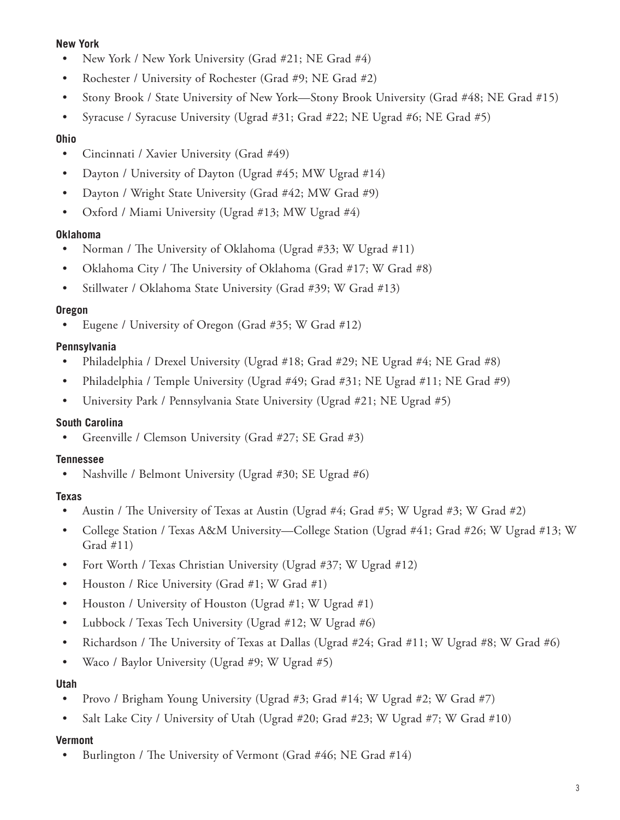#### **New York**

- New York / New York University (Grad #21; NE Grad #4)
- Rochester / University of Rochester (Grad #9; NE Grad #2)
- Stony Brook / State University of New York—Stony Brook University (Grad #48; NE Grad #15)
- Syracuse / Syracuse University (Ugrad #31; Grad #22; NE Ugrad #6; NE Grad #5)

#### **Ohio**

- Cincinnati / Xavier University (Grad #49)
- Dayton / University of Dayton (Ugrad #45; MW Ugrad #14)
- Dayton / Wright State University (Grad #42; MW Grad #9)
- Oxford / Miami University (Ugrad #13; MW Ugrad #4)

#### **Oklahoma**

- Norman / The University of Oklahoma (Ugrad #33; W Ugrad #11)
- Oklahoma City / The University of Oklahoma (Grad #17; W Grad #8)
- Stillwater / Oklahoma State University (Grad #39; W Grad #13)

#### **Oregon**

• Eugene / University of Oregon (Grad #35; W Grad #12)

#### **Pennsylvania**

- Philadelphia / Drexel University (Ugrad #18; Grad #29; NE Ugrad #4; NE Grad #8)
- Philadelphia / Temple University (Ugrad #49; Grad #31; NE Ugrad #11; NE Grad #9)
- University Park / Pennsylvania State University (Ugrad #21; NE Ugrad #5)

#### **South Carolina**

Greenville / Clemson University (Grad #27; SE Grad #3)

#### **Tennessee**

• Nashville / Belmont University (Ugrad #30; SE Ugrad #6)

#### **Texas**

- Austin / The University of Texas at Austin (Ugrad #4; Grad #5; W Ugrad #3; W Grad #2)
- College Station / Texas A&M University—College Station (Ugrad #41; Grad #26; W Ugrad #13; W Grad #11)
- Fort Worth / Texas Christian University (Ugrad #37; W Ugrad #12)
- Houston / Rice University (Grad #1; W Grad #1)
- Houston / University of Houston (Ugrad #1; W Ugrad #1)
- Lubbock / Texas Tech University (Ugrad #12; W Ugrad #6)
- Richardson / The University of Texas at Dallas (Ugrad #24; Grad #11; W Ugrad #8; W Grad #6)
- Waco / Baylor University (Ugrad #9; W Ugrad #5)

#### **Utah**

- Provo / Brigham Young University (Ugrad #3; Grad #14; W Ugrad #2; W Grad #7)
- Salt Lake City / University of Utah (Ugrad #20; Grad #23; W Ugrad #7; W Grad #10)

#### **Vermont**

• Burlington / The University of Vermont (Grad #46; NE Grad #14)